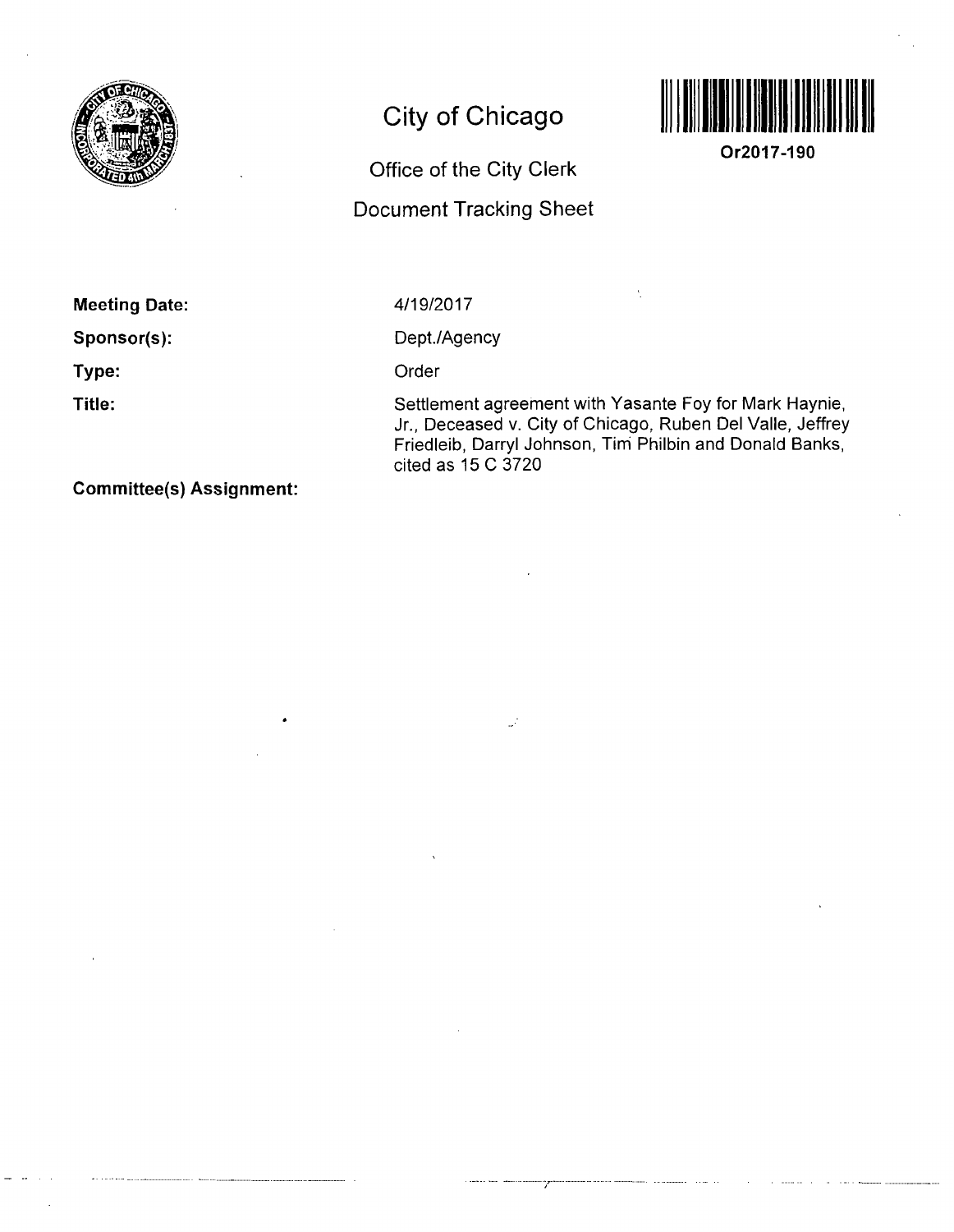

# **City of Chicago**

## **Office of the City Clerk**

## **Document Tracking Sheet**



**Or2017-190** 

**Meeting Date:** 

**Sponsor(s):** 

**Type:** 

**Title:** 

4/19/2017

Dept./Agency

Order

Settlement agreement with Yasante Foy for Mark Haynie, Jr., Deceased v. City of Chicago, Ruben Del Valle, Jeffrey Friedleib, Darryl Johnson, Tim Philbin and Donald Banks, cited as 15 C 3720

**Commlttee(s) Assignment:**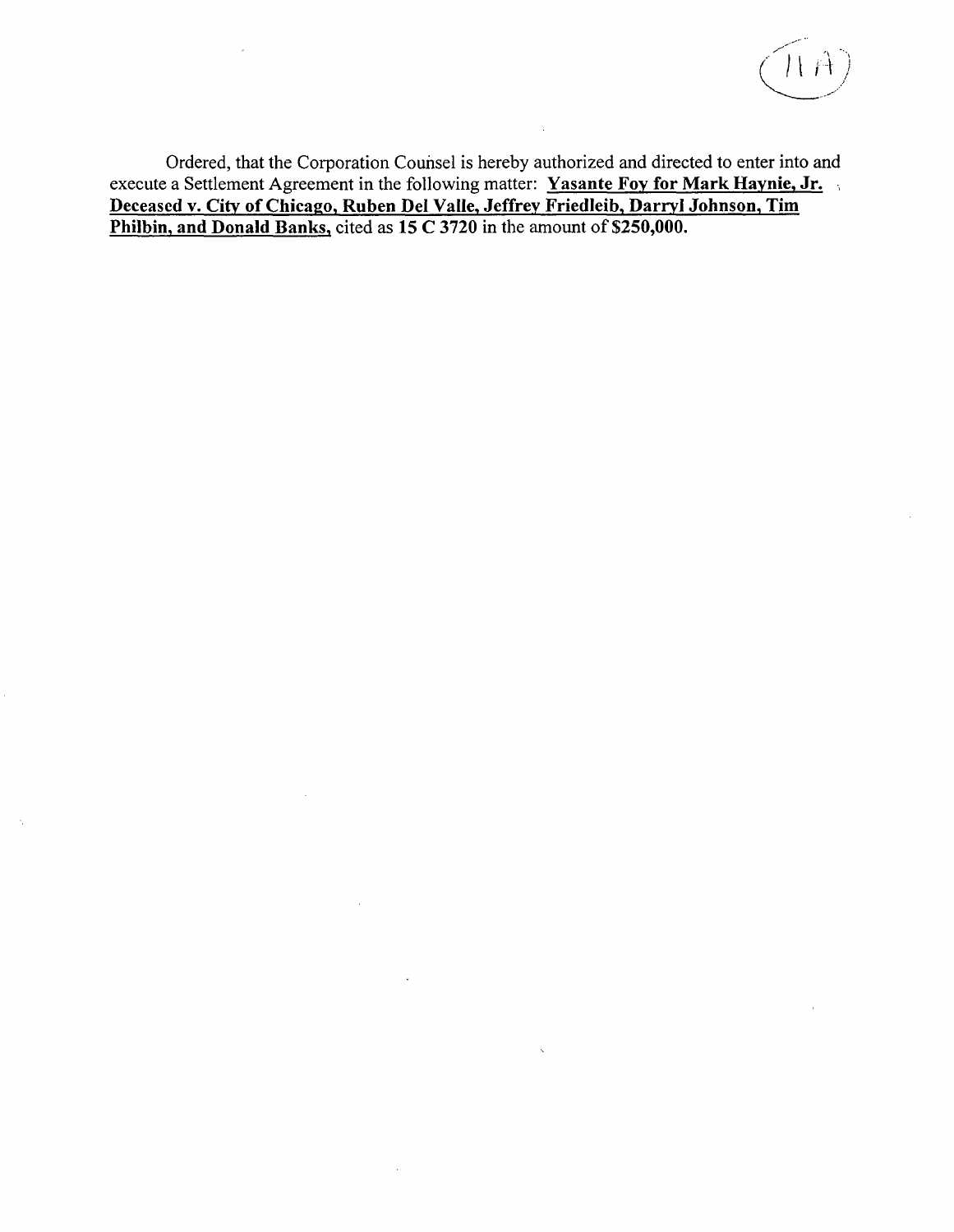

**Ordered, that the Corporation Counsel is hereby authorized and directed to enter into and**  execute a Settlement Agreement in the following matter: Yasante Foy for Mark Haynie, Jr. **Deceased v. Citv of Chicago, Ruben Del Valle, Jeffrey Friedleib, Darryl Johnson, Tim**  Philbin, and Donald Banks, cited as 15 C 3720 in the amount of \$250,000.

 $\mathcal{A}$